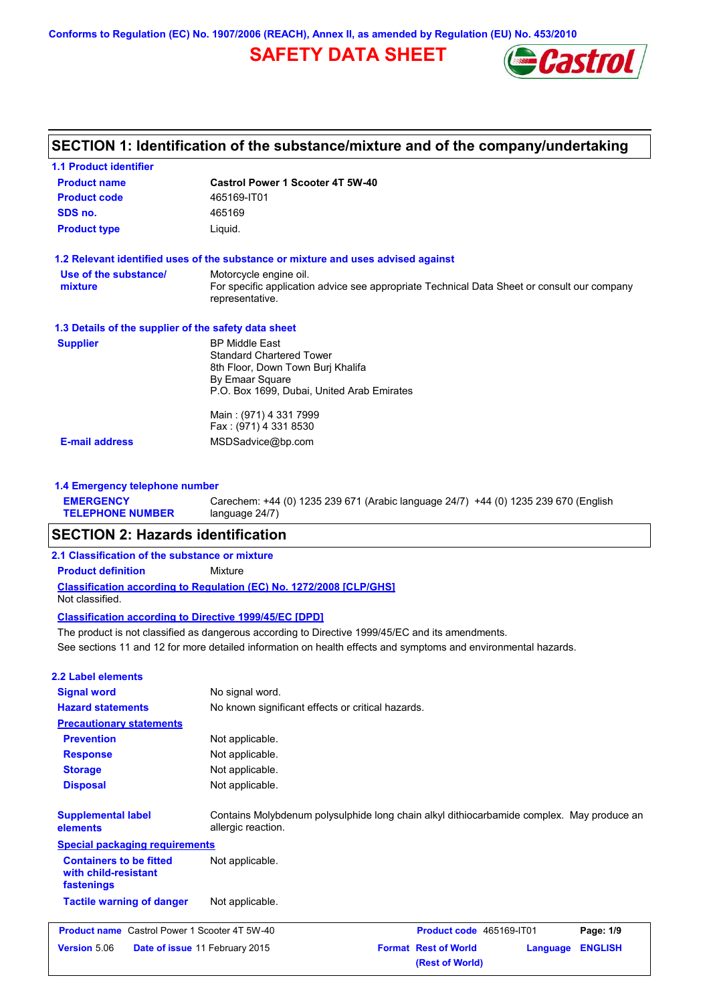**Conforms to Regulation (EC) No. 1907/2006 (REACH), Annex II, as amended by Regulation (EU) No. 453/2010**

# **SAFETY DATA SHEET**



| <b>1.1 Product identifier</b>                        |                                                                                                                |
|------------------------------------------------------|----------------------------------------------------------------------------------------------------------------|
| <b>Product name</b>                                  | <b>Castrol Power 1 Scooter 4T 5W-40</b>                                                                        |
| <b>Product code</b>                                  | 465169-IT01                                                                                                    |
| SDS no.                                              | 465169                                                                                                         |
| <b>Product type</b>                                  | Liquid.                                                                                                        |
|                                                      | 1.2 Relevant identified uses of the substance or mixture and uses advised against                              |
| Use of the substance/                                | Motorcycle engine oil.                                                                                         |
| mixture                                              | For specific application advice see appropriate Technical Data Sheet or consult our company<br>representative. |
| 1.3 Details of the supplier of the safety data sheet |                                                                                                                |
| <b>Supplier</b>                                      | <b>BP Middle East</b>                                                                                          |
|                                                      | <b>Standard Chartered Tower</b>                                                                                |
|                                                      | 8th Floor, Down Town Burj Khalifa                                                                              |
|                                                      | By Emaar Square<br>P.O. Box 1699, Dubai, United Arab Emirates                                                  |
|                                                      |                                                                                                                |
|                                                      | Main: (971) 4 331 7999                                                                                         |
|                                                      | Fax: (971) 4 331 8530                                                                                          |
| <b>E-mail address</b>                                | MSDSadvice@bp.com                                                                                              |

Carechem: +44 (0) 1235 239 671 (Arabic language 24/7) +44 (0) 1235 239 670 (English

#### **TELEPHONE NUMBER** language 24/7)

## **SECTION 2: Hazards identification**

### **2.1 Classification of the substance or mixture**

**Product definition** Mixture

**Classification according to Regulation (EC) No. 1272/2008 [CLP/GHS]** Not classified.

### **Classification according to Directive 1999/45/EC [DPD]**

See sections 11 and 12 for more detailed information on health effects and symptoms and environmental hazards. The product is not classified as dangerous according to Directive 1999/45/EC and its amendments.

## **2.2 Label elements**

**EMERGENCY** 

| <b>Signal word</b>                                                   | No signal word.                                                                                                 |                                                |          |                |
|----------------------------------------------------------------------|-----------------------------------------------------------------------------------------------------------------|------------------------------------------------|----------|----------------|
| <b>Hazard statements</b>                                             | No known significant effects or critical hazards.                                                               |                                                |          |                |
| <b>Precautionary statements</b>                                      |                                                                                                                 |                                                |          |                |
| <b>Prevention</b>                                                    | Not applicable.                                                                                                 |                                                |          |                |
| <b>Response</b>                                                      | Not applicable.                                                                                                 |                                                |          |                |
| <b>Storage</b>                                                       | Not applicable.                                                                                                 |                                                |          |                |
| <b>Disposal</b>                                                      | Not applicable.                                                                                                 |                                                |          |                |
| <b>Supplemental label</b><br>elements                                | Contains Molybdenum polysulphide long chain alkyl dithiocarbamide complex. May produce an<br>allergic reaction. |                                                |          |                |
| <b>Special packaging requirements</b>                                |                                                                                                                 |                                                |          |                |
| <b>Containers to be fitted</b><br>with child-resistant<br>fastenings | Not applicable.                                                                                                 |                                                |          |                |
| <b>Tactile warning of danger</b>                                     | Not applicable.                                                                                                 |                                                |          |                |
| <b>Product name</b> Castrol Power 1 Scooter 4T 5W-40                 |                                                                                                                 | Product code 465169-IT01                       |          | Page: 1/9      |
| Version 5.06                                                         | <b>Date of issue 11 February 2015</b>                                                                           | <b>Format Rest of World</b><br>(Rest of World) | Language | <b>ENGLISH</b> |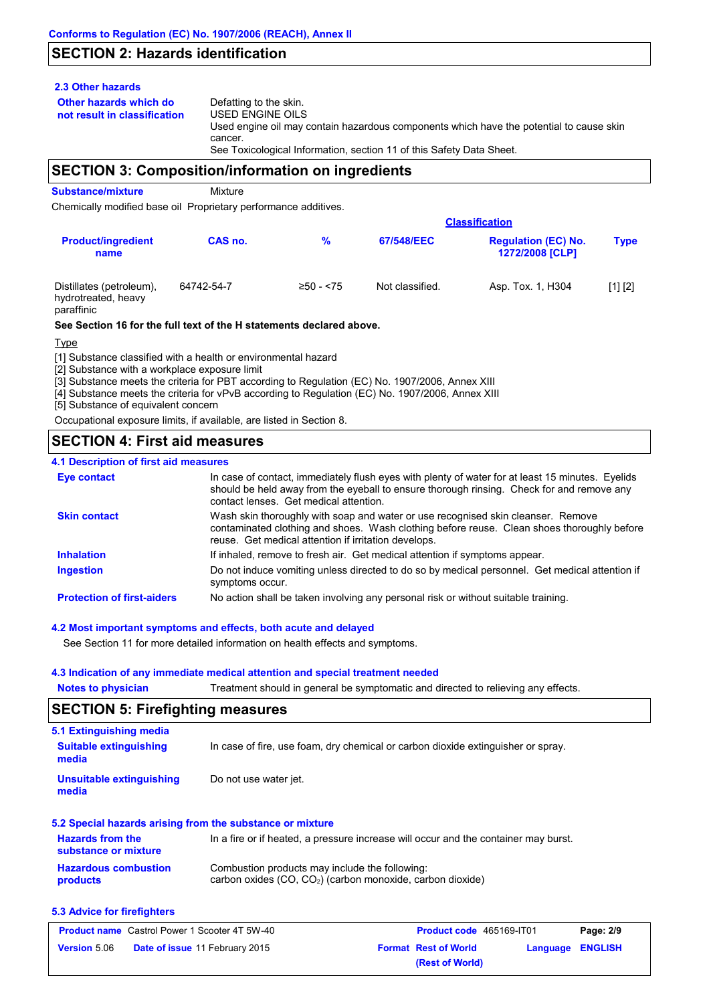# **SECTION 2: Hazards identification**

## **2.3 Other hazards**

**Other hazards which do** 

**not result in classification** Defatting to the skin. USED ENGINE OILS Used engine oil may contain hazardous components which have the potential to cause skin cancer. See Toxicological Information, section 11 of this Safety Data Sheet.

## **SECTION 3: Composition/information on ingredients**

**Substance/mixture** Mixture

Chemically modified base oil Proprietary performance additives.

|                                                               |            |              |                 | <b>Classification</b>                         |             |  |
|---------------------------------------------------------------|------------|--------------|-----------------|-----------------------------------------------|-------------|--|
| <b>Product/ingredient</b><br>name                             | CAS no.    | %            | 67/548/EEC      | <b>Regulation (EC) No.</b><br>1272/2008 [CLP] | <b>Type</b> |  |
| Distillates (petroleum),<br>hydrotreated, heavy<br>paraffinic | 64742-54-7 | $≥50 - < 75$ | Not classified. | Asp. Tox. 1, H304                             | [1] [2]     |  |

### **See Section 16 for the full text of the H statements declared above.**

Type

[1] Substance classified with a health or environmental hazard

[2] Substance with a workplace exposure limit

[3] Substance meets the criteria for PBT according to Regulation (EC) No. 1907/2006, Annex XIII

[4] Substance meets the criteria for vPvB according to Regulation (EC) No. 1907/2006, Annex XIII

[5] Substance of equivalent concern

Occupational exposure limits, if available, are listed in Section 8.

# **SECTION 4: First aid measures**

## **4.1 Description of first aid measures**

| <b>Eye contact</b>                | In case of contact, immediately flush eyes with plenty of water for at least 15 minutes. Eyelids<br>should be held away from the eyeball to ensure thorough rinsing. Check for and remove any<br>contact lenses. Get medical attention. |
|-----------------------------------|-----------------------------------------------------------------------------------------------------------------------------------------------------------------------------------------------------------------------------------------|
| <b>Skin contact</b>               | Wash skin thoroughly with soap and water or use recognised skin cleanser. Remove<br>contaminated clothing and shoes. Wash clothing before reuse. Clean shoes thoroughly before<br>reuse. Get medical attention if irritation develops.  |
| <b>Inhalation</b>                 | If inhaled, remove to fresh air. Get medical attention if symptoms appear.                                                                                                                                                              |
| <b>Ingestion</b>                  | Do not induce vomiting unless directed to do so by medical personnel. Get medical attention if<br>symptoms occur.                                                                                                                       |
| <b>Protection of first-aiders</b> | No action shall be taken involving any personal risk or without suitable training.                                                                                                                                                      |

## **4.2 Most important symptoms and effects, both acute and delayed**

See Section 11 for more detailed information on health effects and symptoms.

## **4.3 Indication of any immediate medical attention and special treatment needed**

**Notes to physician** Treatment should in general be symptomatic and directed to relieving any effects.

## **SECTION 5: Firefighting measures**

| 5.1 Extinguishing media                         |                                                                                     |
|-------------------------------------------------|-------------------------------------------------------------------------------------|
| <b>Suitable extinguishing</b>                   | In case of fire, use foam, dry chemical or carbon dioxide extinguisher or spray.    |
| media                                           |                                                                                     |
| Unsuitable extinguishing<br>media               | Do not use water jet.                                                               |
|                                                 | 5.2 Special hazards arising from the substance or mixture                           |
| <b>Hazards from the</b><br>substance or mixture | In a fire or if heated, a pressure increase will occur and the container may burst. |
| Hazardous combustion                            | Combustion products may include the following:                                      |

#### **Hazardous combustion products** nay include the following: carbon oxides (CO, CO2) (carbon monoxide, carbon dioxide)

## **5.3 Advice for firefighters**

| <b>Product name</b> Castrol Power 1 Scooter 4T 5W-40 |                                       | <b>Product code</b> 465169-IT01 |                             | Page: 2/9        |  |
|------------------------------------------------------|---------------------------------------|---------------------------------|-----------------------------|------------------|--|
| <b>Version</b> 5.06                                  | <b>Date of issue 11 February 2015</b> |                                 | <b>Format Rest of World</b> | Language ENGLISH |  |
|                                                      |                                       |                                 | (Rest of World)             |                  |  |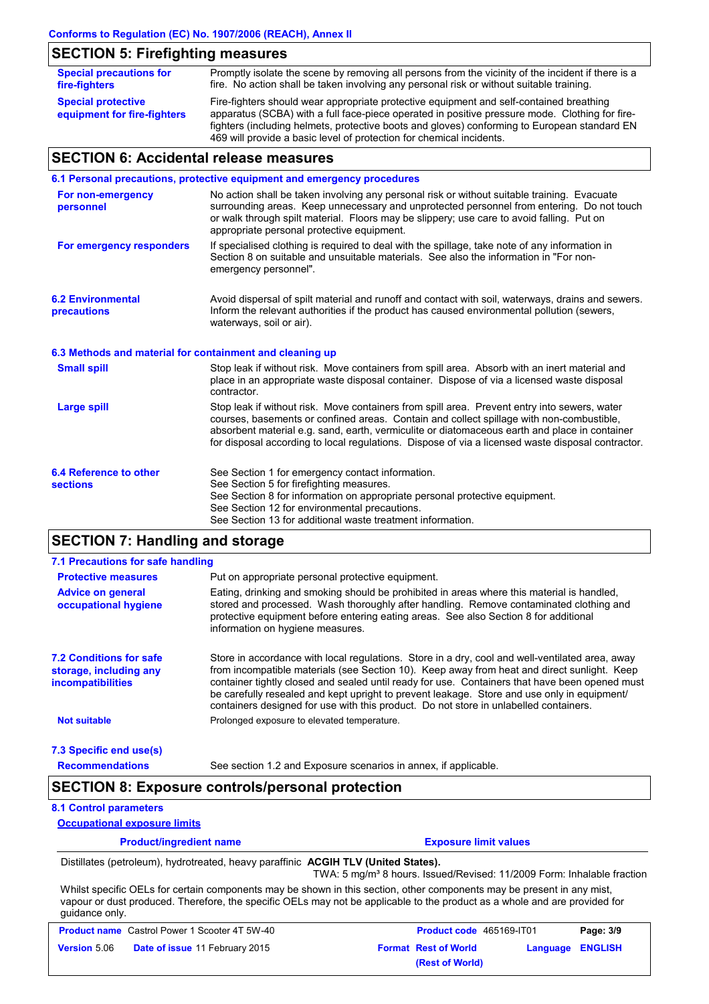# **SECTION 5: Firefighting measures**

| <b>Special precautions for</b><br>fire-fighters          | Promptly isolate the scene by removing all persons from the vicinity of the incident if there is a<br>fire. No action shall be taken involving any personal risk or without suitable training.                                                                                            |
|----------------------------------------------------------|-------------------------------------------------------------------------------------------------------------------------------------------------------------------------------------------------------------------------------------------------------------------------------------------|
| <b>Special protective</b><br>equipment for fire-fighters | Fire-fighters should wear appropriate protective equipment and self-contained breathing<br>apparatus (SCBA) with a full face-piece operated in positive pressure mode. Clothing for fire-<br>fighters (including helmets, protective boots and gloves) conforming to European standard EN |
|                                                          | 469 will provide a basic level of protection for chemical incidents.                                                                                                                                                                                                                      |

# **SECTION 6: Accidental release measures**

|                                                          | 6.1 Personal precautions, protective equipment and emergency procedures                                                                                                                                                                                                                                                                                                                        |
|----------------------------------------------------------|------------------------------------------------------------------------------------------------------------------------------------------------------------------------------------------------------------------------------------------------------------------------------------------------------------------------------------------------------------------------------------------------|
| For non-emergency<br>personnel                           | No action shall be taken involving any personal risk or without suitable training. Evacuate<br>surrounding areas. Keep unnecessary and unprotected personnel from entering. Do not touch<br>or walk through spilt material. Floors may be slippery; use care to avoid falling. Put on<br>appropriate personal protective equipment.                                                            |
| For emergency responders                                 | If specialised clothing is required to deal with the spillage, take note of any information in<br>Section 8 on suitable and unsuitable materials. See also the information in "For non-<br>emergency personnel".                                                                                                                                                                               |
| <b>6.2 Environmental</b><br>precautions                  | Avoid dispersal of spilt material and runoff and contact with soil, waterways, drains and sewers.<br>Inform the relevant authorities if the product has caused environmental pollution (sewers,<br>waterways, soil or air).                                                                                                                                                                    |
| 6.3 Methods and material for containment and cleaning up |                                                                                                                                                                                                                                                                                                                                                                                                |
| <b>Small spill</b>                                       | Stop leak if without risk. Move containers from spill area. Absorb with an inert material and<br>place in an appropriate waste disposal container. Dispose of via a licensed waste disposal<br>contractor.                                                                                                                                                                                     |
| <b>Large spill</b>                                       | Stop leak if without risk. Move containers from spill area. Prevent entry into sewers, water<br>courses, basements or confined areas. Contain and collect spillage with non-combustible,<br>absorbent material e.g. sand, earth, vermiculite or diatomaceous earth and place in container<br>for disposal according to local regulations. Dispose of via a licensed waste disposal contractor. |
| 6.4 Reference to other<br><b>sections</b>                | See Section 1 for emergency contact information.<br>See Section 5 for firefighting measures.<br>See Section 8 for information on appropriate personal protective equipment.<br>See Section 12 for environmental precautions.<br>See Section 13 for additional waste treatment information.                                                                                                     |

# **SECTION 7: Handling and storage**

| 7.1 Precautions for safe handling                                                    |                                                                                                                                                                                                                                                                                                                                                                                                                                                                                          |
|--------------------------------------------------------------------------------------|------------------------------------------------------------------------------------------------------------------------------------------------------------------------------------------------------------------------------------------------------------------------------------------------------------------------------------------------------------------------------------------------------------------------------------------------------------------------------------------|
| <b>Protective measures</b>                                                           | Put on appropriate personal protective equipment.                                                                                                                                                                                                                                                                                                                                                                                                                                        |
| <b>Advice on general</b><br>occupational hygiene                                     | Eating, drinking and smoking should be prohibited in areas where this material is handled,<br>stored and processed. Wash thoroughly after handling. Remove contaminated clothing and<br>protective equipment before entering eating areas. See also Section 8 for additional<br>information on hygiene measures.                                                                                                                                                                         |
| <b>7.2 Conditions for safe</b><br>storage, including any<br><i>incompatibilities</i> | Store in accordance with local requiations. Store in a dry, cool and well-ventilated area, away<br>from incompatible materials (see Section 10). Keep away from heat and direct sunlight. Keep<br>container tightly closed and sealed until ready for use. Containers that have been opened must<br>be carefully resealed and kept upright to prevent leakage. Store and use only in equipment/<br>containers designed for use with this product. Do not store in unlabelled containers. |
| <b>Not suitable</b>                                                                  | Prolonged exposure to elevated temperature.                                                                                                                                                                                                                                                                                                                                                                                                                                              |
| 7.3 Specific end use(s)                                                              |                                                                                                                                                                                                                                                                                                                                                                                                                                                                                          |

**Recommendations**

### See section 1.2 and Exposure scenarios in annex, if applicable.

# **SECTION 8: Exposure controls/personal protection**

## **8.1 Control parameters**

**Occupational exposure limits**

| <b>Product/ingredient name</b> | <b>Exposure limit values</b> |
|--------------------------------|------------------------------|
|                                |                              |

Distillates (petroleum), hydrotreated, heavy paraffinic **ACGIH TLV (United States).**

TWA: 5 mg/m<sup>3</sup> 8 hours. Issued/Revised: 11/2009 Form: Inhalable fraction Whilst specific OELs for certain components may be shown in this section, other components may be present in any mist,

vapour or dust produced. Therefore, the specific OELs may not be applicable to the product as a whole and are provided for guidance only.

| <b>Product name</b> Castrol Power 1 Scooter 4T 5W-40 |                                       | <b>Product code</b> 465169-IT01 |                             | Page: 3/9               |  |
|------------------------------------------------------|---------------------------------------|---------------------------------|-----------------------------|-------------------------|--|
| <b>Version</b> 5.06                                  | <b>Date of issue 11 February 2015</b> |                                 | <b>Format Rest of World</b> | <b>Language ENGLISH</b> |  |
|                                                      |                                       |                                 | (Rest of World)             |                         |  |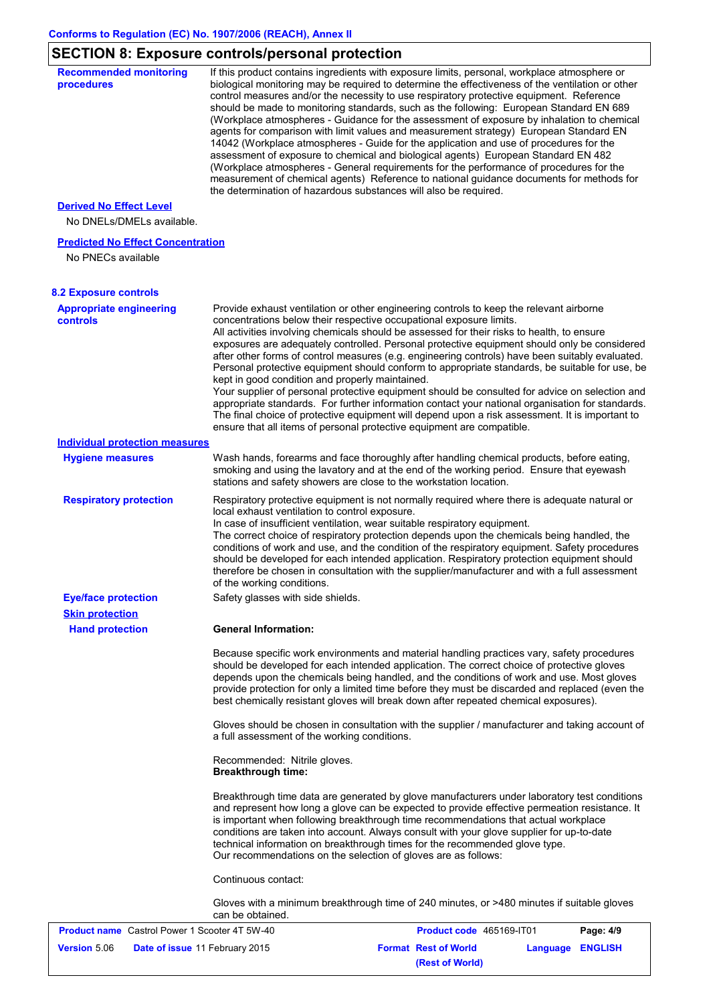# **SECTION 8: Exposure controls/personal protection**

| <b>Recommended monitoring</b><br>procedures                    | If this product contains ingredients with exposure limits, personal, workplace atmosphere or<br>biological monitoring may be required to determine the effectiveness of the ventilation or other<br>control measures and/or the necessity to use respiratory protective equipment. Reference<br>should be made to monitoring standards, such as the following: European Standard EN 689<br>(Workplace atmospheres - Guidance for the assessment of exposure by inhalation to chemical<br>agents for comparison with limit values and measurement strategy) European Standard EN<br>14042 (Workplace atmospheres - Guide for the application and use of procedures for the<br>assessment of exposure to chemical and biological agents) European Standard EN 482<br>(Workplace atmospheres - General requirements for the performance of procedures for the<br>measurement of chemical agents) Reference to national guidance documents for methods for<br>the determination of hazardous substances will also be required. |
|----------------------------------------------------------------|----------------------------------------------------------------------------------------------------------------------------------------------------------------------------------------------------------------------------------------------------------------------------------------------------------------------------------------------------------------------------------------------------------------------------------------------------------------------------------------------------------------------------------------------------------------------------------------------------------------------------------------------------------------------------------------------------------------------------------------------------------------------------------------------------------------------------------------------------------------------------------------------------------------------------------------------------------------------------------------------------------------------------|
| <b>Derived No Effect Level</b>                                 |                                                                                                                                                                                                                                                                                                                                                                                                                                                                                                                                                                                                                                                                                                                                                                                                                                                                                                                                                                                                                            |
| No DNELs/DMELs available.                                      |                                                                                                                                                                                                                                                                                                                                                                                                                                                                                                                                                                                                                                                                                                                                                                                                                                                                                                                                                                                                                            |
| <b>Predicted No Effect Concentration</b><br>No PNECs available |                                                                                                                                                                                                                                                                                                                                                                                                                                                                                                                                                                                                                                                                                                                                                                                                                                                                                                                                                                                                                            |
| <b>8.2 Exposure controls</b>                                   |                                                                                                                                                                                                                                                                                                                                                                                                                                                                                                                                                                                                                                                                                                                                                                                                                                                                                                                                                                                                                            |
| <b>Appropriate engineering</b><br>controls                     | Provide exhaust ventilation or other engineering controls to keep the relevant airborne<br>concentrations below their respective occupational exposure limits.<br>All activities involving chemicals should be assessed for their risks to health, to ensure<br>exposures are adequately controlled. Personal protective equipment should only be considered<br>after other forms of control measures (e.g. engineering controls) have been suitably evaluated.<br>Personal protective equipment should conform to appropriate standards, be suitable for use, be<br>kept in good condition and properly maintained.<br>Your supplier of personal protective equipment should be consulted for advice on selection and<br>appropriate standards. For further information contact your national organisation for standards.<br>The final choice of protective equipment will depend upon a risk assessment. It is important to<br>ensure that all items of personal protective equipment are compatible.                    |
| <b>Individual protection measures</b>                          |                                                                                                                                                                                                                                                                                                                                                                                                                                                                                                                                                                                                                                                                                                                                                                                                                                                                                                                                                                                                                            |
| <b>Hygiene measures</b>                                        | Wash hands, forearms and face thoroughly after handling chemical products, before eating,<br>smoking and using the lavatory and at the end of the working period. Ensure that eyewash<br>stations and safety showers are close to the workstation location.                                                                                                                                                                                                                                                                                                                                                                                                                                                                                                                                                                                                                                                                                                                                                                |
| <b>Respiratory protection</b>                                  | Respiratory protective equipment is not normally required where there is adequate natural or<br>local exhaust ventilation to control exposure.<br>In case of insufficient ventilation, wear suitable respiratory equipment.<br>The correct choice of respiratory protection depends upon the chemicals being handled, the<br>conditions of work and use, and the condition of the respiratory equipment. Safety procedures<br>should be developed for each intended application. Respiratory protection equipment should<br>therefore be chosen in consultation with the supplier/manufacturer and with a full assessment<br>of the working conditions.                                                                                                                                                                                                                                                                                                                                                                    |
| <b>Eye/face protection</b>                                     | Safety glasses with side shields.                                                                                                                                                                                                                                                                                                                                                                                                                                                                                                                                                                                                                                                                                                                                                                                                                                                                                                                                                                                          |
| <b>Skin protection</b><br><b>Hand protection</b>               | <b>General Information:</b>                                                                                                                                                                                                                                                                                                                                                                                                                                                                                                                                                                                                                                                                                                                                                                                                                                                                                                                                                                                                |
|                                                                | Because specific work environments and material handling practices vary, safety procedures<br>should be developed for each intended application. The correct choice of protective gloves<br>depends upon the chemicals being handled, and the conditions of work and use. Most gloves<br>provide protection for only a limited time before they must be discarded and replaced (even the<br>best chemically resistant gloves will break down after repeated chemical exposures).                                                                                                                                                                                                                                                                                                                                                                                                                                                                                                                                           |
|                                                                | Gloves should be chosen in consultation with the supplier / manufacturer and taking account of<br>a full assessment of the working conditions.                                                                                                                                                                                                                                                                                                                                                                                                                                                                                                                                                                                                                                                                                                                                                                                                                                                                             |
|                                                                | Recommended: Nitrile gloves.<br><b>Breakthrough time:</b>                                                                                                                                                                                                                                                                                                                                                                                                                                                                                                                                                                                                                                                                                                                                                                                                                                                                                                                                                                  |
|                                                                | Breakthrough time data are generated by glove manufacturers under laboratory test conditions<br>and represent how long a glove can be expected to provide effective permeation resistance. It<br>is important when following breakthrough time recommendations that actual workplace<br>conditions are taken into account. Always consult with your glove supplier for up-to-date<br>technical information on breakthrough times for the recommended glove type.<br>Our recommendations on the selection of gloves are as follows:                                                                                                                                                                                                                                                                                                                                                                                                                                                                                         |
|                                                                | Continuous contact:                                                                                                                                                                                                                                                                                                                                                                                                                                                                                                                                                                                                                                                                                                                                                                                                                                                                                                                                                                                                        |
|                                                                | Gloves with a minimum breakthrough time of 240 minutes, or >480 minutes if suitable gloves<br>can be obtained.                                                                                                                                                                                                                                                                                                                                                                                                                                                                                                                                                                                                                                                                                                                                                                                                                                                                                                             |
| <b>Product name</b> Castrol Power 1 Scooter 4T 5W-40           | Product code 465169-IT01<br>Page: 4/9                                                                                                                                                                                                                                                                                                                                                                                                                                                                                                                                                                                                                                                                                                                                                                                                                                                                                                                                                                                      |
| <b>Version 5.06</b>                                            | <b>Format Rest of World</b><br>Date of issue 11 February 2015<br><b>Language ENGLISH</b>                                                                                                                                                                                                                                                                                                                                                                                                                                                                                                                                                                                                                                                                                                                                                                                                                                                                                                                                   |

**(Rest of World)**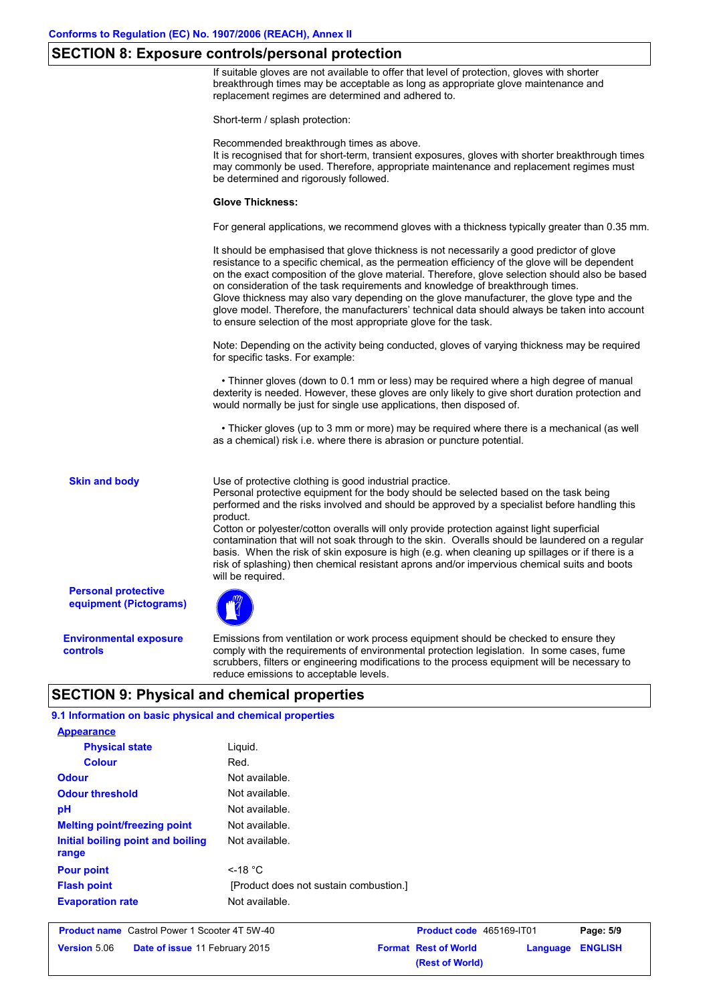## **SECTION 8: Exposure controls/personal protection**

If suitable gloves are not available to offer that level of protection, gloves with shorter breakthrough times may be acceptable as long as appropriate glove maintenance and replacement regimes are determined and adhered to.

Short-term / splash protection:

Recommended breakthrough times as above.

It is recognised that for short-term, transient exposures, gloves with shorter breakthrough times may commonly be used. Therefore, appropriate maintenance and replacement regimes must be determined and rigorously followed.

#### **Glove Thickness:**

For general applications, we recommend gloves with a thickness typically greater than 0.35 mm.

It should be emphasised that glove thickness is not necessarily a good predictor of glove resistance to a specific chemical, as the permeation efficiency of the glove will be dependent on the exact composition of the glove material. Therefore, glove selection should also be based on consideration of the task requirements and knowledge of breakthrough times. Glove thickness may also vary depending on the glove manufacturer, the glove type and the glove model. Therefore, the manufacturers' technical data should always be taken into account to ensure selection of the most appropriate glove for the task.

Note: Depending on the activity being conducted, gloves of varying thickness may be required for specific tasks. For example:

 • Thinner gloves (down to 0.1 mm or less) may be required where a high degree of manual dexterity is needed. However, these gloves are only likely to give short duration protection and would normally be just for single use applications, then disposed of.

 • Thicker gloves (up to 3 mm or more) may be required where there is a mechanical (as well as a chemical) risk i.e. where there is abrasion or puncture potential.

**Skin and body**

Use of protective clothing is good industrial practice.

Personal protective equipment for the body should be selected based on the task being performed and the risks involved and should be approved by a specialist before handling this product.

Cotton or polyester/cotton overalls will only provide protection against light superficial contamination that will not soak through to the skin. Overalls should be laundered on a regular basis. When the risk of skin exposure is high (e.g. when cleaning up spillages or if there is a risk of splashing) then chemical resistant aprons and/or impervious chemical suits and boots will be required.

**Personal protective equipment (Pictograms)**

**Environmental exposure controls**

Emissions from ventilation or work process equipment should be checked to ensure they comply with the requirements of environmental protection legislation. In some cases, fume scrubbers, filters or engineering modifications to the process equipment will be necessary to reduce emissions to acceptable levels.

**(Rest of World)**

# **SECTION 9: Physical and chemical properties**

| 9.1 Information on basic physical and chemical properties    |                |                             |          |                |  |
|--------------------------------------------------------------|----------------|-----------------------------|----------|----------------|--|
| <b>Appearance</b>                                            |                |                             |          |                |  |
| <b>Physical state</b>                                        | Liquid.        |                             |          |                |  |
| <b>Colour</b>                                                | Red.           |                             |          |                |  |
| <b>Odour</b>                                                 | Not available. |                             |          |                |  |
| <b>Odour threshold</b>                                       |                |                             |          |                |  |
| pH                                                           | Not available. |                             |          |                |  |
| <b>Melting point/freezing point</b>                          | Not available. |                             |          |                |  |
| Initial boiling point and boiling<br>range                   | Not available. |                             |          |                |  |
| <b>Pour point</b>                                            | $\leq$ -18 °C  |                             |          |                |  |
| <b>Flash point</b><br>[Product does not sustain combustion.] |                |                             |          |                |  |
| <b>Evaporation rate</b>                                      | Not available. |                             |          |                |  |
| <b>Product name</b> Castrol Power 1 Scooter 4T 5W-40         |                | Product code 465169-IT01    |          | Page: 5/9      |  |
| Version 5.06<br>Date of issue 11 February 2015               |                | <b>Format Rest of World</b> | Language | <b>ENGLISH</b> |  |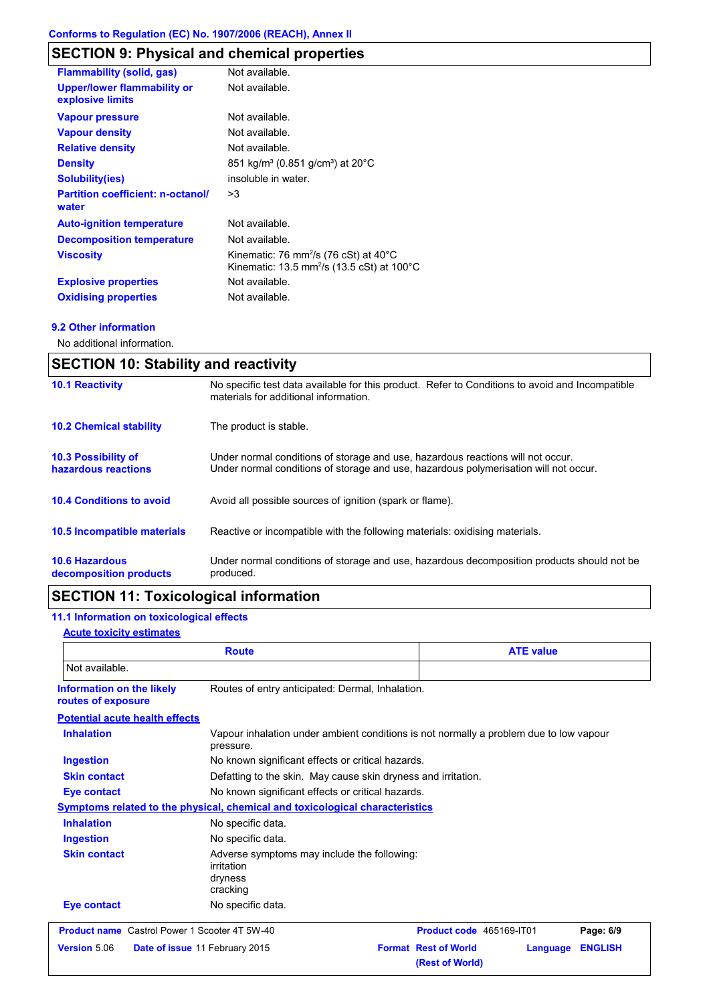# **SECTION 9: Physical and chemical properties**

| <b>Flammability (solid, gas)</b>                       | Not available.                                                                                                                   |
|--------------------------------------------------------|----------------------------------------------------------------------------------------------------------------------------------|
| <b>Upper/lower flammability or</b><br>explosive limits | Not available.                                                                                                                   |
| <b>Vapour pressure</b>                                 | Not available.                                                                                                                   |
| <b>Vapour density</b>                                  | Not available.                                                                                                                   |
| <b>Relative density</b>                                | Not available.                                                                                                                   |
| <b>Density</b>                                         | 851 kg/m <sup>3</sup> (0.851 g/cm <sup>3</sup> ) at 20°C                                                                         |
| <b>Solubility(ies)</b>                                 | insoluble in water.                                                                                                              |
| <b>Partition coefficient: n-octanol/</b><br>water      | >3                                                                                                                               |
| <b>Auto-ignition temperature</b>                       | Not available.                                                                                                                   |
| <b>Decomposition temperature</b>                       | Not available.                                                                                                                   |
| <b>Viscosity</b>                                       | Kinematic: 76 mm <sup>2</sup> /s (76 cSt) at $40^{\circ}$ C<br>Kinematic: 13.5 mm <sup>2</sup> /s (13.5 cSt) at 100 $^{\circ}$ C |
| <b>Explosive properties</b>                            | Not available.                                                                                                                   |
| <b>Oxidising properties</b>                            | Not available.                                                                                                                   |

## **9.2 Other information**

No additional information.

| <b>SECTION 10: Stability and reactivity</b>       |                                                                                                                                                                         |  |
|---------------------------------------------------|-------------------------------------------------------------------------------------------------------------------------------------------------------------------------|--|
| <b>10.1 Reactivity</b>                            | No specific test data available for this product. Refer to Conditions to avoid and Incompatible<br>materials for additional information.                                |  |
| <b>10.2 Chemical stability</b>                    | The product is stable.                                                                                                                                                  |  |
| <b>10.3 Possibility of</b><br>hazardous reactions | Under normal conditions of storage and use, hazardous reactions will not occur.<br>Under normal conditions of storage and use, hazardous polymerisation will not occur. |  |
| <b>10.4 Conditions to avoid</b>                   | Avoid all possible sources of ignition (spark or flame).                                                                                                                |  |
| <b>10.5 Incompatible materials</b>                | Reactive or incompatible with the following materials: oxidising materials.                                                                                             |  |
| <b>10.6 Hazardous</b><br>decomposition products   | Under normal conditions of storage and use, hazardous decomposition products should not be<br>produced.                                                                 |  |

# **SECTION 11: Toxicological information**

# **11.1 Information on toxicological effects**

## **Acute toxicity estimates**

| <b>Route</b>                                         |                                                                                                     | <b>ATE value</b>                                           |                |  |
|------------------------------------------------------|-----------------------------------------------------------------------------------------------------|------------------------------------------------------------|----------------|--|
| Not available.                                       |                                                                                                     |                                                            |                |  |
| Information on the likely<br>routes of exposure      | Routes of entry anticipated: Dermal, Inhalation.                                                    |                                                            |                |  |
| <b>Potential acute health effects</b>                |                                                                                                     |                                                            |                |  |
| <b>Inhalation</b>                                    | Vapour inhalation under ambient conditions is not normally a problem due to low vapour<br>pressure. |                                                            |                |  |
| <b>Ingestion</b>                                     | No known significant effects or critical hazards.                                                   |                                                            |                |  |
| <b>Skin contact</b>                                  | Defatting to the skin. May cause skin dryness and irritation.                                       |                                                            |                |  |
| <b>Eye contact</b>                                   |                                                                                                     | No known significant effects or critical hazards.          |                |  |
|                                                      | Symptoms related to the physical, chemical and toxicological characteristics                        |                                                            |                |  |
| <b>Inhalation</b>                                    | No specific data.                                                                                   |                                                            |                |  |
| <b>Ingestion</b>                                     | No specific data.                                                                                   |                                                            |                |  |
| <b>Skin contact</b>                                  | Adverse symptoms may include the following:<br>irritation<br>dryness<br>cracking                    |                                                            |                |  |
| <b>Eye contact</b>                                   | No specific data.                                                                                   |                                                            |                |  |
| <b>Product name</b> Castrol Power 1 Scooter 4T 5W-40 |                                                                                                     | Product code 465169-IT01                                   | Page: 6/9      |  |
| Version 5.06                                         | Date of issue 11 February 2015                                                                      | <b>Format Rest of World</b><br>Language<br>(Rest of World) | <b>ENGLISH</b> |  |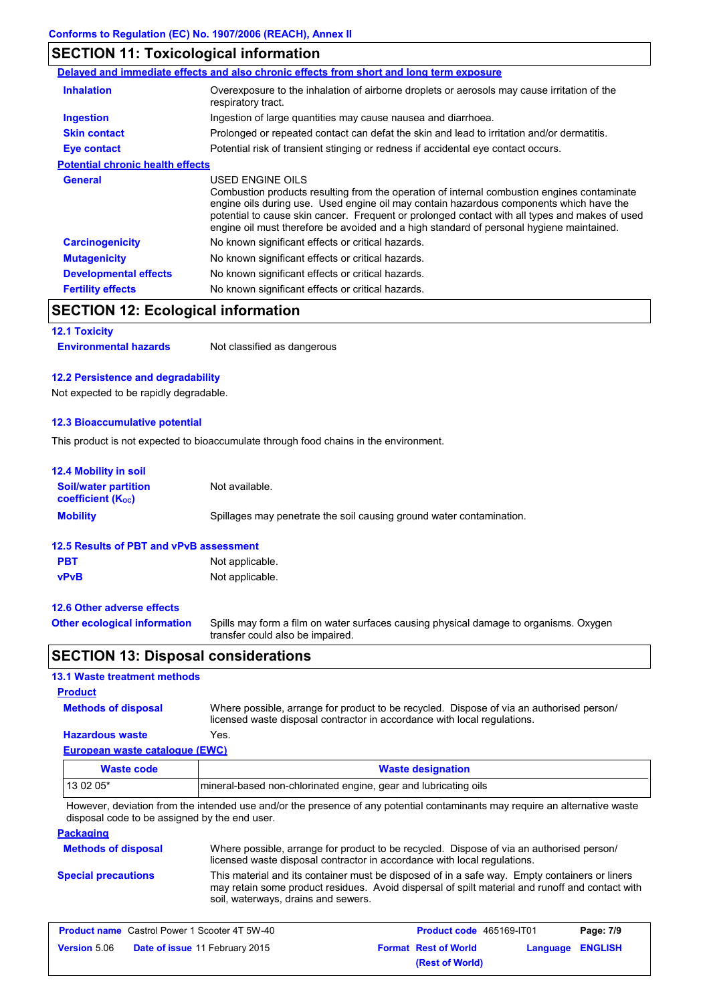# **SECTION 11: Toxicological information**

|                                         | Delayed and immediate effects and also chronic effects from short and long term exposure                                                                                                                                                                                                                                                                                                                 |
|-----------------------------------------|----------------------------------------------------------------------------------------------------------------------------------------------------------------------------------------------------------------------------------------------------------------------------------------------------------------------------------------------------------------------------------------------------------|
| <b>Inhalation</b>                       | Overexposure to the inhalation of airborne droplets or aerosols may cause irritation of the<br>respiratory tract.                                                                                                                                                                                                                                                                                        |
| Ingestion                               | Ingestion of large quantities may cause nausea and diarrhoea.                                                                                                                                                                                                                                                                                                                                            |
| <b>Skin contact</b>                     | Prolonged or repeated contact can defat the skin and lead to irritation and/or dermatitis.                                                                                                                                                                                                                                                                                                               |
| Eye contact                             | Potential risk of transient stinging or redness if accidental eye contact occurs.                                                                                                                                                                                                                                                                                                                        |
| <b>Potential chronic health effects</b> |                                                                                                                                                                                                                                                                                                                                                                                                          |
| <b>General</b>                          | USED ENGINE OILS<br>Combustion products resulting from the operation of internal combustion engines contaminate<br>engine oils during use. Used engine oil may contain hazardous components which have the<br>potential to cause skin cancer. Frequent or prolonged contact with all types and makes of used<br>engine oil must therefore be avoided and a high standard of personal hygiene maintained. |
| <b>Carcinogenicity</b>                  | No known significant effects or critical hazards.                                                                                                                                                                                                                                                                                                                                                        |
| <b>Mutagenicity</b>                     | No known significant effects or critical hazards.                                                                                                                                                                                                                                                                                                                                                        |
| <b>Developmental effects</b>            | No known significant effects or critical hazards.                                                                                                                                                                                                                                                                                                                                                        |
| <b>Fertility effects</b>                | No known significant effects or critical hazards.                                                                                                                                                                                                                                                                                                                                                        |

# **SECTION 12: Ecological information**

# **12.1 Toxicity**

**Environmental hazards** Not classified as dangerous

## **12.2 Persistence and degradability**

Not expected to be rapidly degradable.

## **12.3 Bioaccumulative potential**

This product is not expected to bioaccumulate through food chains in the environment.

| <b>12.4 Mobility in soil</b>                                         |                                                                                                                           |  |  |
|----------------------------------------------------------------------|---------------------------------------------------------------------------------------------------------------------------|--|--|
| <b>Soil/water partition</b><br><b>coefficient</b> (K <sub>oc</sub> ) | Not available.                                                                                                            |  |  |
| <b>Mobility</b>                                                      | Spillages may penetrate the soil causing ground water contamination.                                                      |  |  |
| 12.5 Results of PBT and vPvB assessment                              |                                                                                                                           |  |  |
| <b>PBT</b>                                                           | Not applicable.                                                                                                           |  |  |
| <b>vPvB</b>                                                          | Not applicable.                                                                                                           |  |  |
| 12.6 Other adverse effects                                           |                                                                                                                           |  |  |
| <b>Other ecological information</b>                                  | Spills may form a film on water surfaces causing physical damage to organisms. Oxygen<br>transfer could also be impaired. |  |  |

# **SECTION 13: Disposal considerations**

## **13.1 Waste treatment methods**

## **Product**

**Methods of disposal**

Where possible, arrange for product to be recycled. Dispose of via an authorised person/ licensed waste disposal contractor in accordance with local regulations.

## **European waste catalogue (EWC) Hazardous waste** Yes.

| Waste code | <b>Waste designation</b>                                         |  |
|------------|------------------------------------------------------------------|--|
| $130205*$  | Imineral-based non-chlorinated engine, gear and lubricating oils |  |

However, deviation from the intended use and/or the presence of any potential contaminants may require an alternative waste disposal code to be assigned by the end user.

## **Packaging**

| <b>Methods of disposal</b> | Where possible, arrange for product to be recycled. Dispose of via an authorised person/<br>licensed waste disposal contractor in accordance with local regulations.                                                                    |
|----------------------------|-----------------------------------------------------------------------------------------------------------------------------------------------------------------------------------------------------------------------------------------|
| <b>Special precautions</b> | This material and its container must be disposed of in a safe way. Empty containers or liners<br>may retain some product residues. Avoid dispersal of spilt material and runoff and contact with<br>soil, waterways, drains and sewers. |

| <b>Product name</b> Castrol Power 1 Scooter 4T 5W-40 |                                       | <b>Product code</b> 465169-IT01 |                             | Page: 7/9        |  |
|------------------------------------------------------|---------------------------------------|---------------------------------|-----------------------------|------------------|--|
| <b>Version</b> 5.06                                  | <b>Date of issue 11 February 2015</b> |                                 | <b>Format Rest of World</b> | Language ENGLISH |  |
|                                                      |                                       |                                 | (Rest of World)             |                  |  |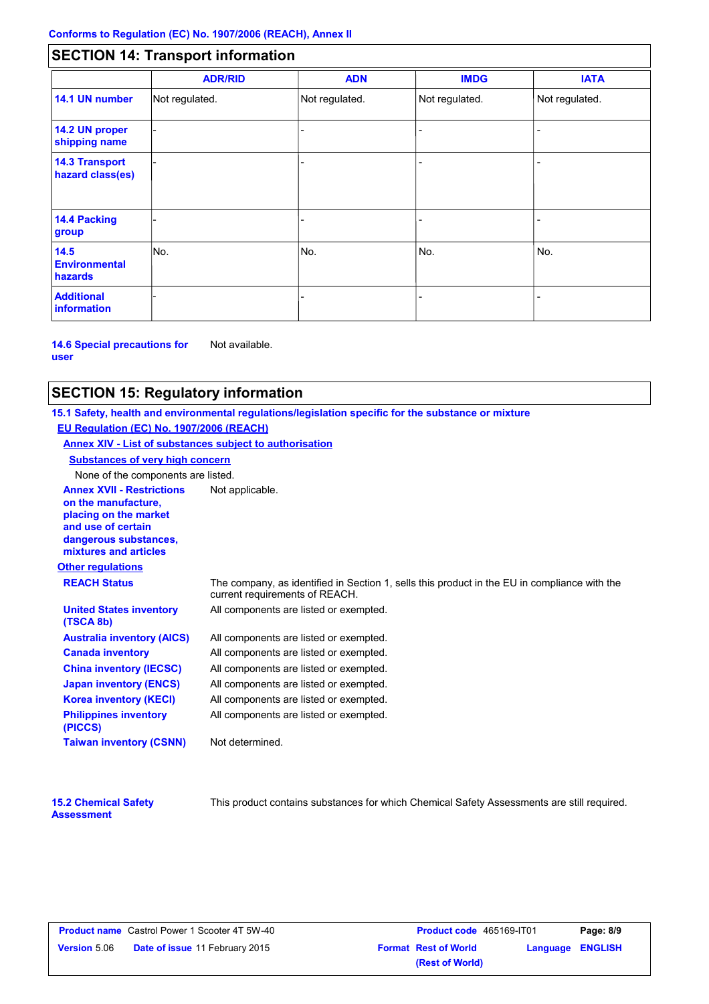# **SECTION 14: Transport information**

|                                           | <b>ADR/RID</b> | <b>ADN</b>     | <b>IMDG</b>    | <b>IATA</b>    |
|-------------------------------------------|----------------|----------------|----------------|----------------|
| 14.1 UN number                            | Not regulated. | Not regulated. | Not regulated. | Not regulated. |
| 14.2 UN proper<br>shipping name           |                |                |                |                |
| <b>14.3 Transport</b><br>hazard class(es) |                |                |                |                |
| 14.4 Packing<br>group                     |                |                |                |                |
| 14.5<br><b>Environmental</b><br>hazards   | No.            | No.            | No.            | No.            |
| <b>Additional</b><br><b>information</b>   |                |                |                |                |

**14.6 Special precautions for user** Not available.

## **SECTION 15: Regulatory information**

**Other regulations Annex XVII - Restrictions** Not applicable. **on the manufacture, placing on the market and use of certain dangerous substances, mixtures and articles REACH Status** The company, as identified in Section 1, sells this product in the EU in compliance with the current requirements of REACH. **15.1 Safety, health and environmental regulations/legislation specific for the substance or mixture EU Regulation (EC) No. 1907/2006 (REACH) Annex XIV - List of substances subject to authorisation Substances of very high concern** None of the components are listed. All components are listed or exempted. All components are listed or exempted. All components are listed or exempted. All components are listed or exempted. All components are listed or exempted. All components are listed or exempted. All components are listed or exempted. **United States inventory (TSCA 8b) Australia inventory (AICS) Canada inventory China inventory (IECSC) Japan inventory (ENCS) Korea inventory (KECI) Philippines inventory (PICCS) Taiwan inventory (CSNN)** Not determined.

| <b>15.2 Chemical Safety</b> |  |
|-----------------------------|--|
| <b>Assessment</b>           |  |

This product contains substances for which Chemical Safety Assessments are still required.